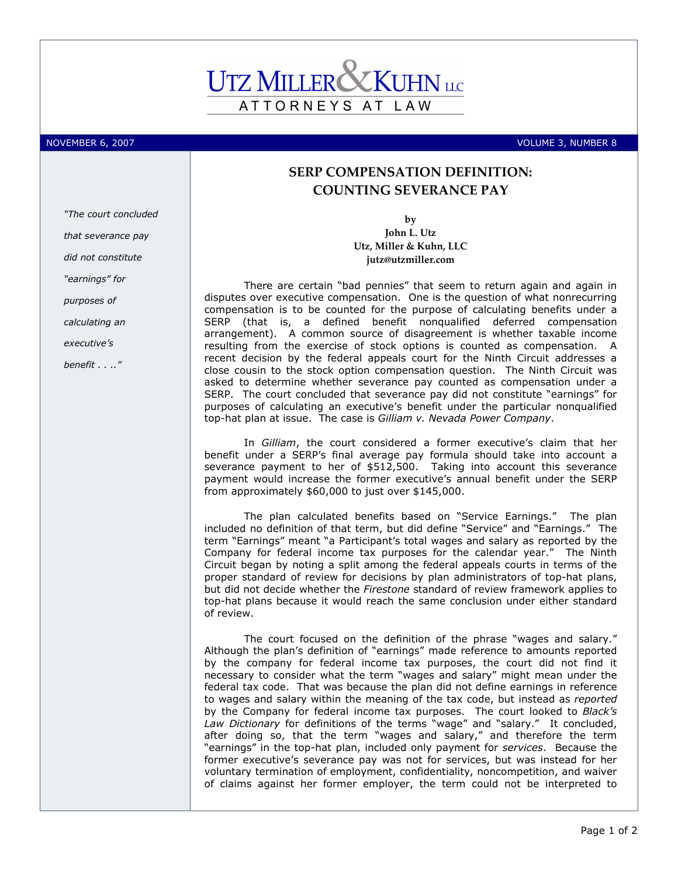## ATTORNEYS AT LAW

"The court concluded

that severance pay did not constitute

"earnings" for

calculating an executive's benefit . . .."

purposes of

NOVEMBER 6, 2007 VOLUME 3, NUMBER 8

## SERP COMPENSATION DEFINITION: COUNTING SEVERANCE PAY

by John L. Utz Utz, Miller & Kuhn, LLC jutz@utzmiller.com

There are certain "bad pennies" that seem to return again and again in disputes over executive compensation. One is the question of what nonrecurring compensation is to be counted for the purpose of calculating benefits under a SERP (that is, a defined benefit nonqualified deferred compensation arrangement). A common source of disagreement is whether taxable income resulting from the exercise of stock options is counted as compensation. A recent decision by the federal appeals court for the Ninth Circuit addresses a close cousin to the stock option compensation question. The Ninth Circuit was asked to determine whether severance pay counted as compensation under a SERP. The court concluded that severance pay did not constitute "earnings" for purposes of calculating an executive's benefit under the particular nonqualified top-hat plan at issue. The case is Gilliam v. Nevada Power Company.

In Gilliam, the court considered a former executive's claim that her benefit under a SERP's final average pay formula should take into account a severance payment to her of \$512,500. Taking into account this severance payment would increase the former executive's annual benefit under the SERP from approximately \$60,000 to just over \$145,000.

The plan calculated benefits based on "Service Earnings." The plan included no definition of that term, but did define "Service" and "Earnings." The term "Earnings" meant "a Participant's total wages and salary as reported by the Company for federal income tax purposes for the calendar year." The Ninth Circuit began by noting a split among the federal appeals courts in terms of the proper standard of review for decisions by plan administrators of top-hat plans, but did not decide whether the Firestone standard of review framework applies to top-hat plans because it would reach the same conclusion under either standard of review.

The court focused on the definition of the phrase "wages and salary." Although the plan's definition of "earnings" made reference to amounts reported by the company for federal income tax purposes, the court did not find it necessary to consider what the term "wages and salary" might mean under the federal tax code. That was because the plan did not define earnings in reference to wages and salary within the meaning of the tax code, but instead as reported by the Company for federal income tax purposes. The court looked to Black's Law Dictionary for definitions of the terms "wage" and "salary." It concluded, after doing so, that the term "wages and salary," and therefore the term "earnings" in the top-hat plan, included only payment for services. Because the former executive's severance pay was not for services, but was instead for her voluntary termination of employment, confidentiality, noncompetition, and waiver of claims against her former employer, the term could not be interpreted to